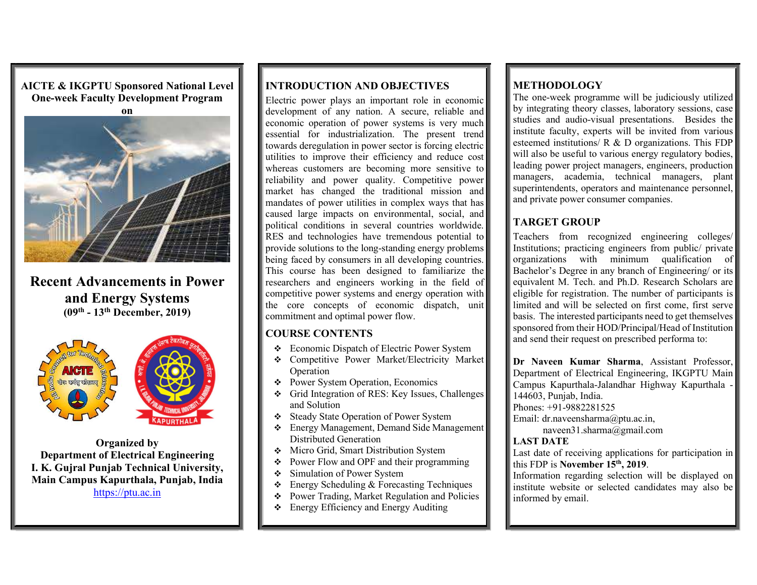AICTE & IKGPTU Sponsored National Level One-week Faculty Development Program



Recent Advancements in Power and Energy Systems (09th - 13th December, 2019)



Organized by Department of Electrical Engineering I. K. Gujral Punjab Technical University, Main Campus Kapurthala, Punjab, India  $\|\cdot\|$ https://ptu.ac.in

# INTRODUCTION AND OBJECTIVES

Electric power plays an important role in economic development of any nation. A secure, reliable and economic operation of power systems is very much essential for industrialization. The present trend towards deregulation in power sector is forcing electric utilities to improve their efficiency and reduce cost whereas customers are becoming more sensitive to reliability and power quality. Competitive power market has changed the traditional mission and mandates of power utilities in complex ways that has caused large impacts on environmental, social, and political conditions in several countries worldwide. RES and technologies have tremendous potential to provide solutions to the long-standing energy problems being faced by consumers in all developing countries. This course has been designed to familiarize the researchers and engineers working in the field of competitive power systems and energy operation with the core concepts of economic dispatch, unit commitment and optimal power flow.

#### COURSE CONTENTS

- Economic Dispatch of Electric Power System
- Competitive Power Market/Electricity Market **Dr Naveen Kumar Sharma**, Assistant Professor, **Operation**
- ◆ Power System Operation, Economics
- Grid Integration of RES: Key Issues, Challenges and Solution
- Steady State Operation of Power System
- Energy Management, Demand Side Management Distributed Generation
- Micro Grid, Smart Distribution System
- $\bullet$  Power Flow and OPF and their programming  $\parallel$   $\parallel$  this FDP is November 15<sup>th</sup>, 2019.
- Simulation of Power System
- Energy Scheduling & Forecasting Techniques
- Power Trading, Market Regulation and Policies
- Energy Efficiency and Energy Auditing

# **METHODOLOGY**

The one-week programme will be judiciously utilized by integrating theory classes, laboratory sessions, case studies and audio-visual presentations. Besides the institute faculty, experts will be invited from various esteemed institutions/ R & D organizations. This FDP will also be useful to various energy regulatory bodies, leading power project managers, engineers, production managers, academia, technical managers, plant superintendents, operators and maintenance personnel, and private power consumer companies.

# TARGET GROUP

Teachers from recognized engineering colleges/ Institutions; practicing engineers from public/ private organizations with minimum qualification of Bachelor's Degree in any branch of Engineering/ or its equivalent M. Tech. and Ph.D. Research Scholars are eligible for registration. The number of participants is limited and will be selected on first come, first serve basis. The interested participants need to get themselves sponsored from their HOD/Principal/Head of Institution and send their request on prescribed performa to:

Department of Electrical Engineering, IKGPTU Main Campus Kapurthala-Jalandhar Highway Kapurthala - 144603, Punjab, India. Phones: +91-9882281525 Email: dr.naveensharma@ptu.ac.in,

naveen31.sharma@gmail.com

#### LAST DATE

Last date of receiving applications for participation in

Information regarding selection will be displayed on institute website or selected candidates may also be informed by email.